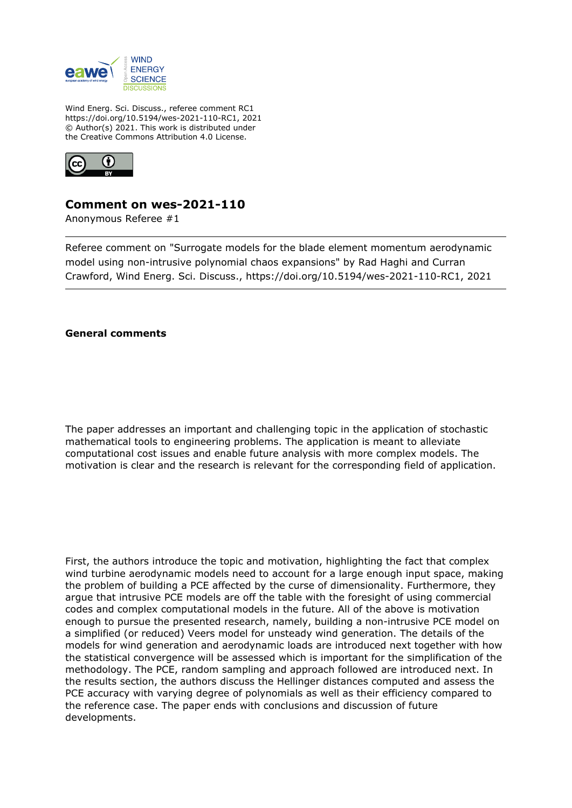

Wind Energ. Sci. Discuss., referee comment RC1 https://doi.org/10.5194/wes-2021-110-RC1, 2021 © Author(s) 2021. This work is distributed under the Creative Commons Attribution 4.0 License.



## **Comment on wes-2021-110**

Anonymous Referee #1

Referee comment on "Surrogate models for the blade element momentum aerodynamic model using non-intrusive polynomial chaos expansions" by Rad Haghi and Curran Crawford, Wind Energ. Sci. Discuss., https://doi.org/10.5194/wes-2021-110-RC1, 2021

**General comments**

The paper addresses an important and challenging topic in the application of stochastic mathematical tools to engineering problems. The application is meant to alleviate computational cost issues and enable future analysis with more complex models. The motivation is clear and the research is relevant for the corresponding field of application.

First, the authors introduce the topic and motivation, highlighting the fact that complex wind turbine aerodynamic models need to account for a large enough input space, making the problem of building a PCE affected by the curse of dimensionality. Furthermore, they argue that intrusive PCE models are off the table with the foresight of using commercial codes and complex computational models in the future. All of the above is motivation enough to pursue the presented research, namely, building a non-intrusive PCE model on a simplified (or reduced) Veers model for unsteady wind generation. The details of the models for wind generation and aerodynamic loads are introduced next together with how the statistical convergence will be assessed which is important for the simplification of the methodology. The PCE, random sampling and approach followed are introduced next. In the results section, the authors discuss the Hellinger distances computed and assess the PCE accuracy with varying degree of polynomials as well as their efficiency compared to the reference case. The paper ends with conclusions and discussion of future developments.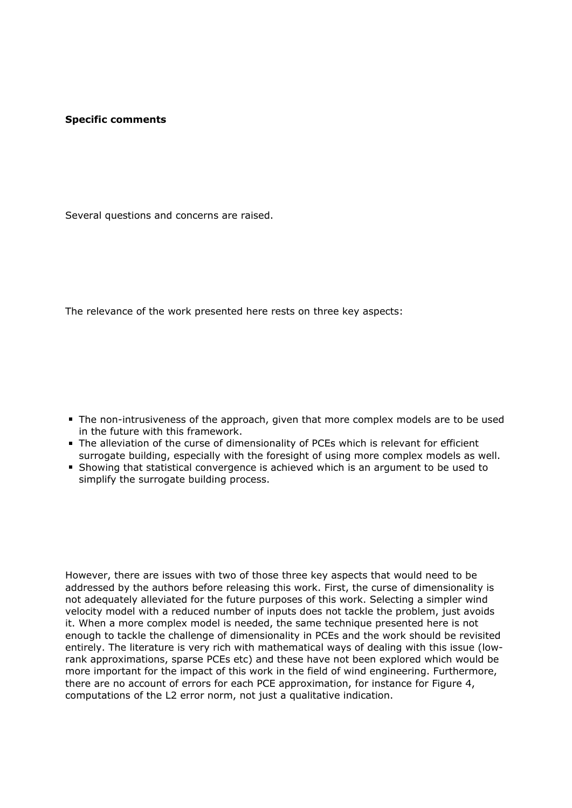## **Specific comments**

Several questions and concerns are raised.

The relevance of the work presented here rests on three key aspects:

- The non-intrusiveness of the approach, given that more complex models are to be used in the future with this framework.
- The alleviation of the curse of dimensionality of PCEs which is relevant for efficient surrogate building, especially with the foresight of using more complex models as well.
- Showing that statistical convergence is achieved which is an argument to be used to simplify the surrogate building process.

However, there are issues with two of those three key aspects that would need to be addressed by the authors before releasing this work. First, the curse of dimensionality is not adequately alleviated for the future purposes of this work. Selecting a simpler wind velocity model with a reduced number of inputs does not tackle the problem, just avoids it. When a more complex model is needed, the same technique presented here is not enough to tackle the challenge of dimensionality in PCEs and the work should be revisited entirely. The literature is very rich with mathematical ways of dealing with this issue (lowrank approximations, sparse PCEs etc) and these have not been explored which would be more important for the impact of this work in the field of wind engineering. Furthermore, there are no account of errors for each PCE approximation, for instance for Figure 4, computations of the L2 error norm, not just a qualitative indication.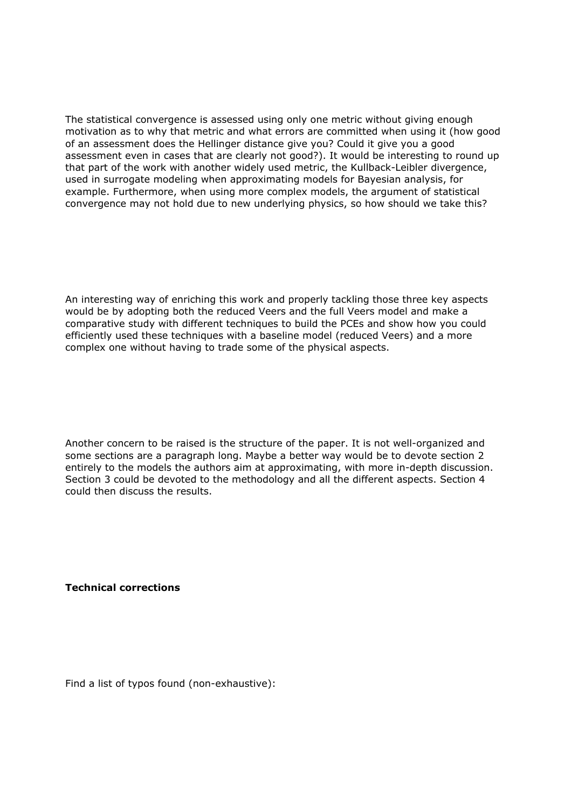The statistical convergence is assessed using only one metric without giving enough motivation as to why that metric and what errors are committed when using it (how good of an assessment does the Hellinger distance give you? Could it give you a good assessment even in cases that are clearly not good?). It would be interesting to round up that part of the work with another widely used metric, the Kullback-Leibler divergence, used in surrogate modeling when approximating models for Bayesian analysis, for example. Furthermore, when using more complex models, the argument of statistical convergence may not hold due to new underlying physics, so how should we take this?

An interesting way of enriching this work and properly tackling those three key aspects would be by adopting both the reduced Veers and the full Veers model and make a comparative study with different techniques to build the PCEs and show how you could efficiently used these techniques with a baseline model (reduced Veers) and a more complex one without having to trade some of the physical aspects.

Another concern to be raised is the structure of the paper. It is not well-organized and some sections are a paragraph long. Maybe a better way would be to devote section 2 entirely to the models the authors aim at approximating, with more in-depth discussion. Section 3 could be devoted to the methodology and all the different aspects. Section 4 could then discuss the results.

**Technical corrections**

Find a list of typos found (non-exhaustive):